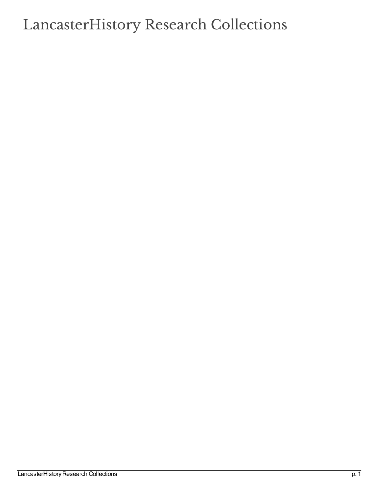## LancasterHistory Research Collections